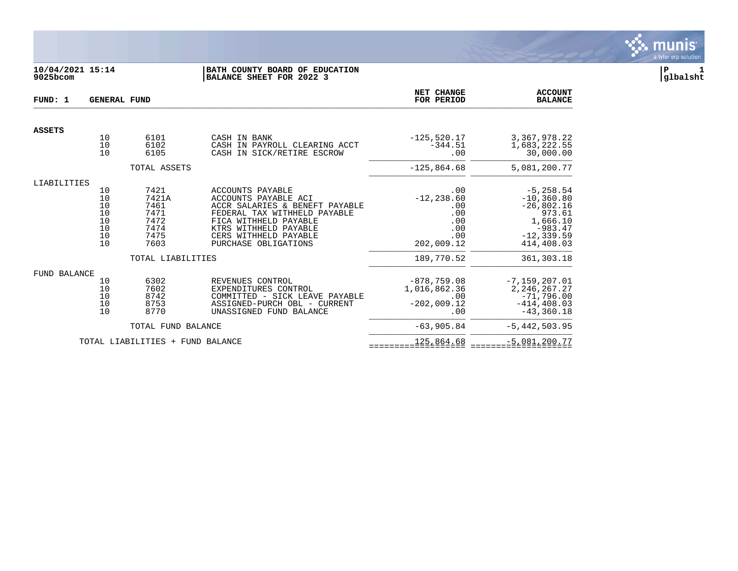

# **10/04/2021 15:14 |BATH COUNTY BOARD OF EDUCATION |P 1 9025bcom |BALANCE SHEET FOR 2022 3 |glbalsht**

| FUND: 1       | <b>GENERAL FUND</b>                                                         |                                                               |                                                                                                                                                                                                               | NET CHANGE<br>FOR PERIOD                                              | <b>ACCOUNT</b><br><b>BALANCE</b>                                                                                |
|---------------|-----------------------------------------------------------------------------|---------------------------------------------------------------|---------------------------------------------------------------------------------------------------------------------------------------------------------------------------------------------------------------|-----------------------------------------------------------------------|-----------------------------------------------------------------------------------------------------------------|
| <b>ASSETS</b> |                                                                             |                                                               |                                                                                                                                                                                                               |                                                                       |                                                                                                                 |
|               | 10<br>10<br>10                                                              | 6101<br>6102<br>6105                                          | CASH IN BANK<br>CASH IN PAYROLL CLEARING ACCT<br>CASH IN SICK/RETIRE ESCROW                                                                                                                                   | $-125,520.17$<br>$-344.51$<br>.00                                     | 3,367,978.22<br>1,683,222.55<br>30,000.00                                                                       |
|               |                                                                             | TOTAL ASSETS                                                  |                                                                                                                                                                                                               | $-125,864.68$                                                         | 5,081,200.77                                                                                                    |
| LIABILITIES   |                                                                             |                                                               |                                                                                                                                                                                                               |                                                                       |                                                                                                                 |
|               | 10<br>10<br>10<br>10<br>10<br>$\begin{array}{c} 10 \\ 10 \end{array}$<br>10 | 7421<br>7421A<br>7461<br>7471<br>7472<br>7474<br>7475<br>7603 | ACCOUNTS PAYABLE<br>ACCOUNTS PAYABLE ACI<br>ACCR SALARIES & BENEFT PAYABLE<br>FEDERAL TAX WITHHELD PAYABLE<br>FICA WITHHELD PAYABLE<br>KTRS WITHHELD PAYABLE<br>CERS WITHHELD PAYABLE<br>PURCHASE OBLIGATIONS | .00<br>$-12, 238.60$<br>.00<br>.00<br>.00<br>.00<br>.00<br>202,009.12 | $-5, 258.54$<br>$-10, 360.80$<br>$-26,802.16$<br>973.61<br>1,666.10<br>$-983.47$<br>$-12, 339.59$<br>414,408.03 |
|               |                                                                             | TOTAL LIABILITIES                                             |                                                                                                                                                                                                               | 189,770.52                                                            | 361, 303. 18                                                                                                    |
| FUND BALANCE  |                                                                             |                                                               |                                                                                                                                                                                                               |                                                                       |                                                                                                                 |
|               | 10<br>10<br>10<br>10<br>10                                                  | 6302<br>7602<br>8742<br>8753<br>8770                          | REVENUES CONTROL<br>EXPENDITURES CONTROL<br>COMMITTED - SICK LEAVE PAYABLE<br>ASSIGNED-PURCH OBL - CURRENT<br>UNASSIGNED FUND BALANCE                                                                         | $-878,759.08$<br>1,016,862.36<br>.00<br>$-202,009.12$<br>.00          | $-7, 159, 207.01$<br>2, 246, 267. 27<br>$-71,796.00$<br>$-414, 408.03$<br>$-43, 360.18$                         |
|               |                                                                             | TOTAL FUND BALANCE                                            |                                                                                                                                                                                                               | $-63,905.84$                                                          | $-5,442,503.95$                                                                                                 |
|               |                                                                             | TOTAL LIABILITIES + FUND BALANCE                              |                                                                                                                                                                                                               | 125,864.68                                                            | $-5,081,200.77$                                                                                                 |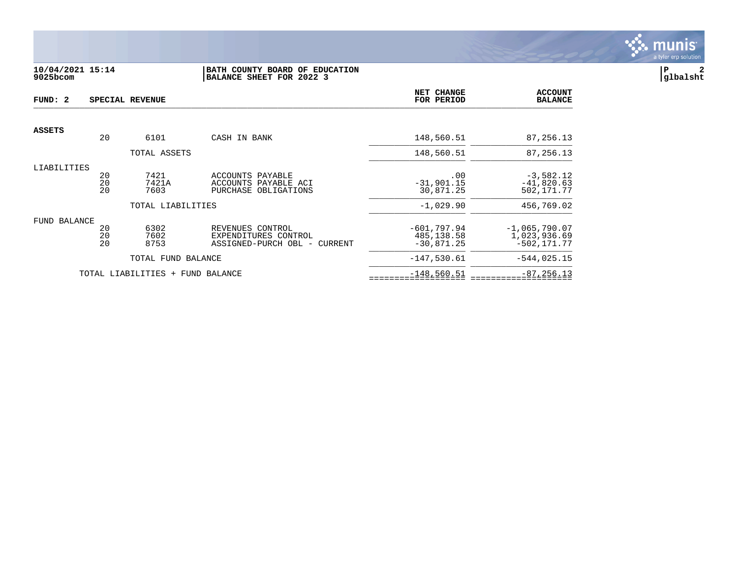

# **10/04/2021 15:14 |BATH COUNTY BOARD OF EDUCATION |P 2 9025bcom |BALANCE SHEET FOR 2022 3 |glbalsht**

| FUND: 2       |                | SPECIAL REVENUE                  |                                                                          | NET CHANGE<br>FOR PERIOD                    | <b>ACCOUNT</b><br><b>BALANCE</b>                  |
|---------------|----------------|----------------------------------|--------------------------------------------------------------------------|---------------------------------------------|---------------------------------------------------|
|               |                |                                  |                                                                          |                                             |                                                   |
| <b>ASSETS</b> | 20             | 6101                             | CASH IN BANK                                                             | 148,560.51                                  | 87,256.13                                         |
|               |                | TOTAL ASSETS                     |                                                                          | 148,560.51                                  | 87,256.13                                         |
| LIABILITIES   | 20<br>20<br>20 | 7421<br>7421A<br>7603            | ACCOUNTS PAYABLE<br>ACCOUNTS PAYABLE ACI<br>PURCHASE OBLIGATIONS         | .00<br>$-31,901.15$<br>30,871.25            | $-3,582.12$<br>$-41,820.63$<br>502,171.77         |
|               |                | TOTAL LIABILITIES                |                                                                          | $-1,029.90$                                 | 456,769.02                                        |
| FUND BALANCE  | 20<br>20<br>20 | 6302<br>7602<br>8753             | REVENUES CONTROL<br>EXPENDITURES CONTROL<br>ASSIGNED-PURCH OBL - CURRENT | $-601,797.94$<br>485,138.58<br>$-30,871.25$ | $-1,065,790.07$<br>1,023,936.69<br>$-502, 171.77$ |
|               |                | TOTAL FUND BALANCE               |                                                                          | $-147,530.61$                               | $-544,025.15$                                     |
|               |                | TOTAL LIABILITIES + FUND BALANCE |                                                                          | $-148,560.51$                               | $-87, 256.13$                                     |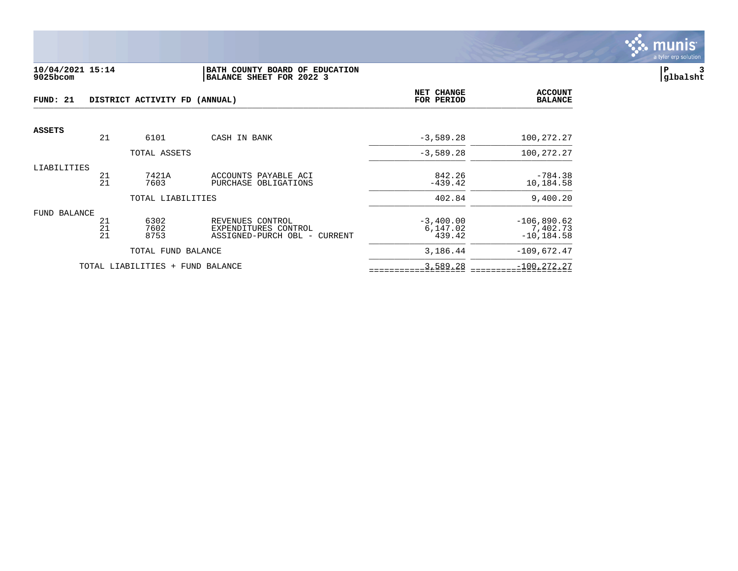

#### **10/04/2021 15:14 |BATH COUNTY BOARD OF EDUCATION |P 3 9025bcom |BALANCE SHEET FOR 2022 3 |glbalsht**

| FUND: 21<br>DISTRICT ACTIVITY FD (ANNUAL) |          |                                  |                                          | NET CHANGE<br>FOR PERIOD | <b>ACCOUNT</b><br><b>BALANCE</b> |
|-------------------------------------------|----------|----------------------------------|------------------------------------------|--------------------------|----------------------------------|
| <b>ASSETS</b>                             |          |                                  |                                          |                          |                                  |
|                                           | 21       | 6101                             | CASH IN BANK                             | $-3,589.28$              | 100,272.27                       |
|                                           |          | TOTAL ASSETS                     |                                          | $-3,589.28$              | 100,272.27                       |
| LIABILITIES                               | 21       | 7421A                            | ACCOUNTS PAYABLE ACI                     | 842.26                   | $-784.38$                        |
|                                           | 21       | 7603                             | PURCHASE OBLIGATIONS                     | $-439.42$                | 10,184.58                        |
|                                           |          | TOTAL LIABILITIES                |                                          | 402.84                   | 9,400.20                         |
| FUND BALANCE                              |          |                                  |                                          |                          |                                  |
|                                           | 21<br>21 | 6302<br>7602                     | REVENUES CONTROL<br>EXPENDITURES CONTROL | $-3,400.00$<br>6,147.02  | $-106,890.62$<br>7,402.73        |
|                                           | 21       | 8753                             | ASSIGNED-PURCH OBL - CURRENT             | 439.42                   | $-10, 184.58$                    |
|                                           |          | TOTAL FUND BALANCE               |                                          | 3,186.44                 | $-109,672.47$                    |
|                                           |          | TOTAL LIABILITIES + FUND BALANCE |                                          | 3,589.28                 | $-100, 272.27$                   |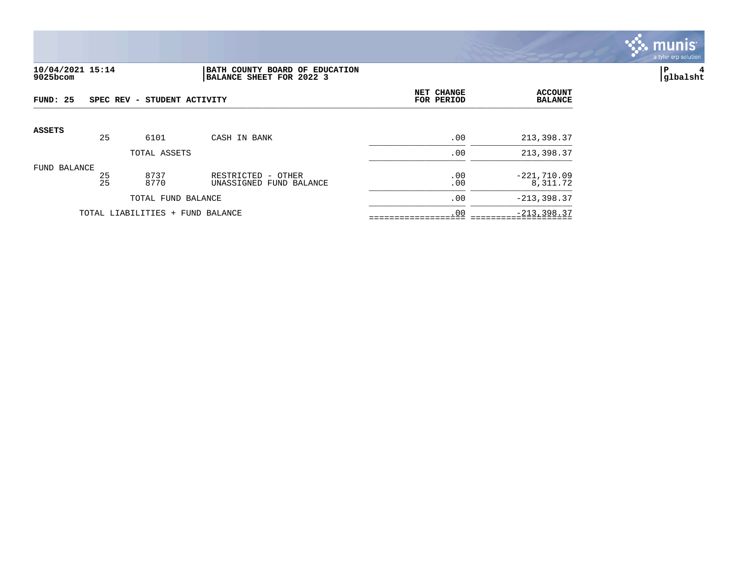

#### **10/04/2021 15:14 |BATH COUNTY BOARD OF EDUCATION |P 4 9025bcom |BALANCE SHEET FOR 2022 3 |glbalsht**

| FUND: 25      |          | SPEC REV - STUDENT ACTIVITY      |                                                  | NET CHANGE<br>FOR PERIOD | <b>ACCOUNT</b><br><b>BALANCE</b> |
|---------------|----------|----------------------------------|--------------------------------------------------|--------------------------|----------------------------------|
| <b>ASSETS</b> | 25       | 6101                             | CASH IN BANK                                     | .00                      | 213,398.37                       |
|               |          | TOTAL ASSETS                     |                                                  | .00                      | 213,398.37                       |
| FUND BALANCE  | 25<br>25 | 8737<br>8770                     | RESTRICTED<br>- OTHER<br>UNASSIGNED FUND BALANCE | .00<br>.00               | $-221,710.09$<br>8,311.72        |
|               |          | TOTAL FUND BALANCE               |                                                  | .00                      | $-213, 398.37$                   |
|               |          | TOTAL LIABILITIES + FUND BALANCE |                                                  | .00                      | $-213, 398.37$                   |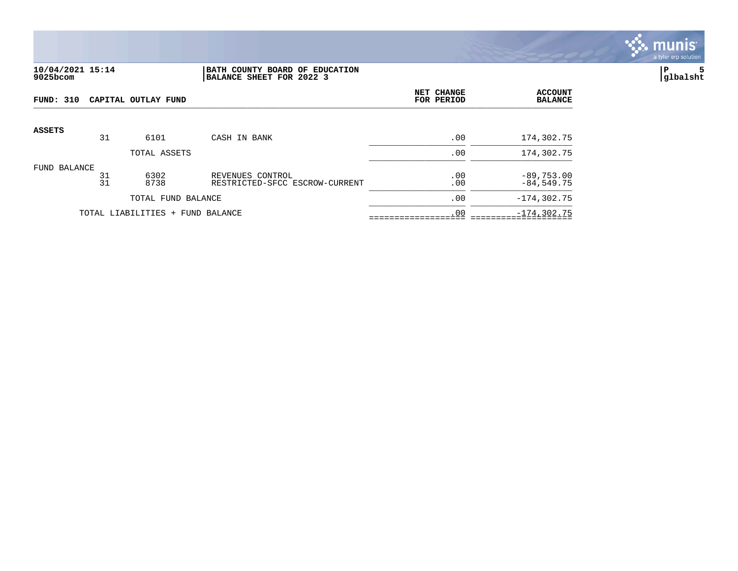

## **10/04/2021 15:14 |BATH COUNTY BOARD OF EDUCATION |P 5 9025bcom |BALANCE SHEET FOR 2022 3 |glbalsht**

| FUND: 310     |          | CAPITAL OUTLAY FUND              |                                                    | NET CHANGE<br>FOR PERIOD | <b>ACCOUNT</b><br><b>BALANCE</b> |
|---------------|----------|----------------------------------|----------------------------------------------------|--------------------------|----------------------------------|
| <b>ASSETS</b> |          |                                  |                                                    |                          |                                  |
|               | 31       | 6101                             | CASH IN BANK                                       | .00                      | 174,302.75                       |
|               |          | TOTAL ASSETS                     |                                                    | .00                      | 174,302.75                       |
| FUND BALANCE  | 31<br>31 | 6302<br>8738                     | REVENUES CONTROL<br>RESTRICTED-SFCC ESCROW-CURRENT | .00<br>.00               | $-89,753.00$<br>$-84,549.75$     |
|               |          | TOTAL FUND BALANCE               |                                                    | .00                      | $-174, 302.75$                   |
|               |          | TOTAL LIABILITIES + FUND BALANCE |                                                    | .00                      | $-174, 302.75$                   |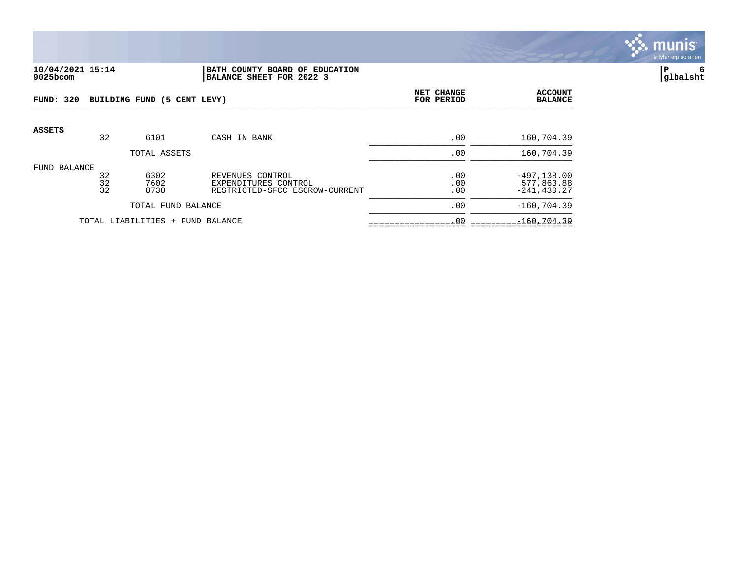

#### **10/04/2021 15:14 |BATH COUNTY BOARD OF EDUCATION |P 6 9025bcom |BALANCE SHEET FOR 2022 3 |glbalsht**

| FUND: 320     |                | BUILDING FUND (5 CENT LEVY)      |                                                                            | <b>NET CHANGE</b><br>FOR PERIOD | <b>ACCOUNT</b><br><b>BALANCE</b>               |
|---------------|----------------|----------------------------------|----------------------------------------------------------------------------|---------------------------------|------------------------------------------------|
| <b>ASSETS</b> | 32             | 6101                             | CASH IN BANK                                                               | .00                             | 160,704.39                                     |
|               |                | TOTAL ASSETS                     |                                                                            | .00                             | 160,704.39                                     |
| FUND BALANCE  | 32<br>32<br>32 | 6302<br>7602<br>8738             | REVENUES CONTROL<br>EXPENDITURES CONTROL<br>RESTRICTED-SFCC ESCROW-CURRENT | .00<br>.00<br>.00               | $-497, 138.00$<br>577,863.88<br>$-241, 430.27$ |
|               |                | TOTAL FUND BALANCE               |                                                                            | .00                             | $-160, 704.39$                                 |
|               |                | TOTAL LIABILITIES + FUND BALANCE |                                                                            | .00                             | $-160, 704.39$                                 |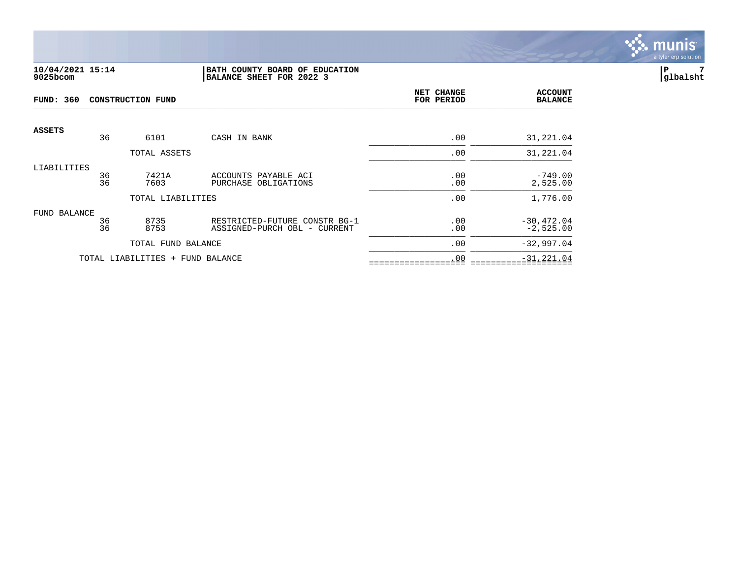

# **10/04/2021 15:14 |BATH COUNTY BOARD OF EDUCATION |P 7 9025bcom |BALANCE SHEET FOR 2022 3 |glbalsht**

| <b>FUND: 360</b> | <b>CONSTRUCTION FUND</b> |                                  |                                                               |            | <b>ACCOUNT</b><br><b>BALANCE</b> |
|------------------|--------------------------|----------------------------------|---------------------------------------------------------------|------------|----------------------------------|
| <b>ASSETS</b>    | 36                       | 6101                             | CASH IN BANK                                                  | .00        | 31,221.04                        |
|                  |                          | TOTAL ASSETS                     |                                                               | .00        | 31,221.04                        |
| LIABILITIES      | 36<br>36                 | 7421A<br>7603                    | ACCOUNTS PAYABLE ACI<br>PURCHASE OBLIGATIONS                  | .00<br>.00 | $-749.00$<br>2,525.00            |
|                  |                          | TOTAL LIABILITIES                |                                                               | .00        | 1,776.00                         |
| FUND BALANCE     | 36<br>36                 | 8735<br>8753                     | RESTRICTED-FUTURE CONSTR BG-1<br>ASSIGNED-PURCH OBL - CURRENT | .00<br>.00 | $-30,472.04$<br>$-2,525.00$      |
|                  |                          | TOTAL FUND BALANCE               |                                                               | .00        | $-32,997.04$                     |
|                  |                          | TOTAL LIABILITIES + FUND BALANCE |                                                               | .00        | $-31, 221.04$                    |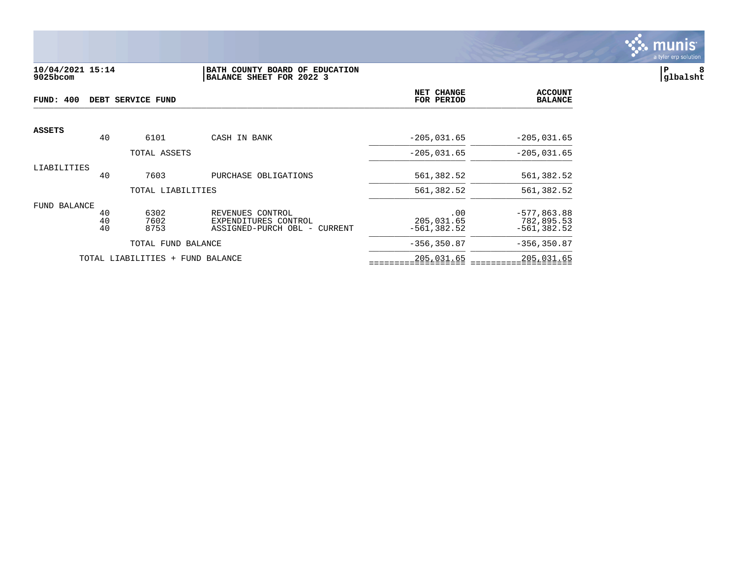

#### **10/04/2021 15:14 |BATH COUNTY BOARD OF EDUCATION |P 8 9025bcom |BALANCE SHEET FOR 2022 3 |glbalsht**

| FUND: 400     |                | DEBT SERVICE FUND                | NET CHANGE<br>FOR PERIOD                                                    | <b>ACCOUNT</b><br><b>BALANCE</b>    |                                               |
|---------------|----------------|----------------------------------|-----------------------------------------------------------------------------|-------------------------------------|-----------------------------------------------|
| <b>ASSETS</b> | 40             | 6101                             | CASH IN BANK                                                                | $-205,031.65$                       | $-205,031.65$                                 |
|               |                | TOTAL ASSETS                     |                                                                             | $-205,031.65$                       | $-205,031.65$                                 |
| LIABILITIES   | 40             | 7603                             | PURCHASE OBLIGATIONS                                                        | 561,382.52                          | 561,382.52                                    |
|               |                | TOTAL LIABILITIES                |                                                                             | 561,382.52                          | 561,382.52                                    |
| FUND BALANCE  | 40<br>40<br>40 | 6302<br>7602<br>8753             | REVENUES CONTROL<br>EXPENDITURES CONTROL<br>ASSIGNED-PURCH OBL -<br>CURRENT | .00<br>205,031.65<br>$-561, 382.52$ | $-577,863.88$<br>782,895.53<br>$-561, 382.52$ |
|               |                | TOTAL FUND BALANCE               |                                                                             | $-356, 350.87$                      | $-356, 350.87$                                |
|               |                | TOTAL LIABILITIES + FUND BALANCE |                                                                             | 205,031.65                          | 205,031.65                                    |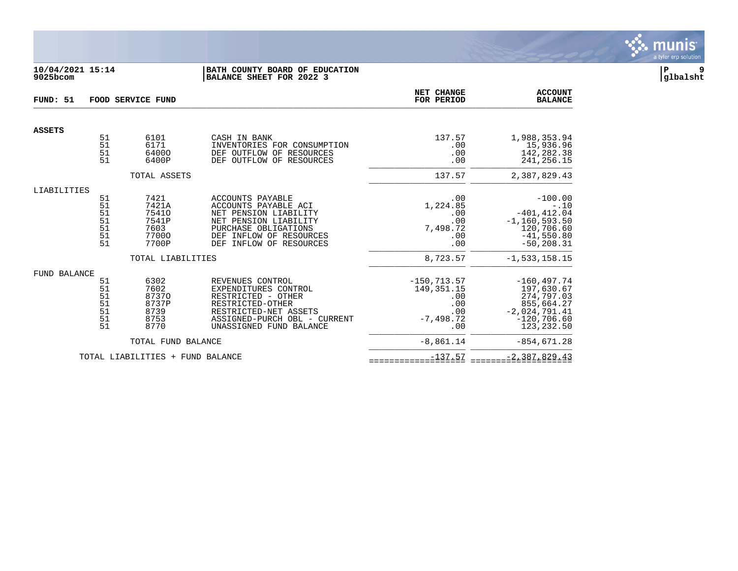

# **10/04/2021 15:14 |BATH COUNTY BOARD OF EDUCATION |P 9 9025bcom |BALANCE SHEET FOR 2022 3 |glbalsht**

| FUND: 51            | FOOD SERVICE FUND                            |                                                                                |                                                                                                                                                                             | NET CHANGE<br>FOR PERIOD                                                  | <b>ACCOUNT</b><br><b>BALANCE</b>                                                                                             |
|---------------------|----------------------------------------------|--------------------------------------------------------------------------------|-----------------------------------------------------------------------------------------------------------------------------------------------------------------------------|---------------------------------------------------------------------------|------------------------------------------------------------------------------------------------------------------------------|
| <b>ASSETS</b>       |                                              |                                                                                |                                                                                                                                                                             |                                                                           |                                                                                                                              |
|                     | 51<br>51<br>51<br>51                         | 6101<br>6171<br>64000<br>6400P                                                 | CASH IN BANK<br>INVENTORIES FOR CONSUMPTION<br>DEF OUTFLOW OF RESOURCES<br>DEF OUTFLOW OF RESOURCES                                                                         | 137.57<br>.00<br>.00<br>.00                                               | 1,988,353.94<br>15,936.96<br>142,282.38<br>241,256.15                                                                        |
|                     |                                              | TOTAL ASSETS                                                                   |                                                                                                                                                                             | 137.57                                                                    | 2,387,829.43                                                                                                                 |
| LIABILITIES         | 51<br>51<br>51<br>51<br>51<br>51<br>51       | 7421<br>7421A<br>75410<br>7541P<br>7603<br>77000<br>7700P<br>TOTAL LIABILITIES | ACCOUNTS PAYABLE<br>ACCOUNTS PAYABLE ACI<br>NET PENSION LIABILITY<br>NET PENSION LIABILITY<br>PURCHASE OBLIGATIONS<br>DEF INFLOW OF RESOURCES<br>INFLOW OF RESOURCES<br>DEF | .00<br>1,224.85<br>.00<br>.00<br>7,498.72<br>.00<br>.00<br>8,723.57       | $-100.00$<br>$-.10$<br>$-401, 412.04$<br>$-1, 160, 593.50$<br>120,706.60<br>$-41,550.80$<br>$-50, 208.31$<br>$-1,533,158.15$ |
| <b>FUND BALANCE</b> | 51<br>51<br>51<br>51<br>51<br>51<br>51<br>51 | 6302<br>7602<br>87370<br>8737P<br>8739<br>8753<br>8770                         | REVENUES CONTROL<br>EXPENDITURES CONTROL<br>RESTRICTED - OTHER<br>RESTRICTED-OTHER<br>RESTRICTED-NET ASSETS<br>ASSIGNED-PURCH OBL - CURRENT<br>UNASSIGNED FUND BALANCE      | $-150, 713.57$<br>149, 351. 15<br>.00<br>.00<br>.00<br>$-7,498.72$<br>.00 | $-160, 497.74$<br>197,630.67<br>274,797.03<br>855,664.27<br>$-2,024,791.41$<br>$-120,706.60$<br>123,232.50                   |
|                     |                                              | TOTAL FUND BALANCE                                                             |                                                                                                                                                                             | $-8,861.14$                                                               | $-854,671.28$                                                                                                                |
|                     |                                              | TOTAL LIABILITIES + FUND BALANCE                                               |                                                                                                                                                                             | $-137.57$                                                                 | $-2,387,829.43$                                                                                                              |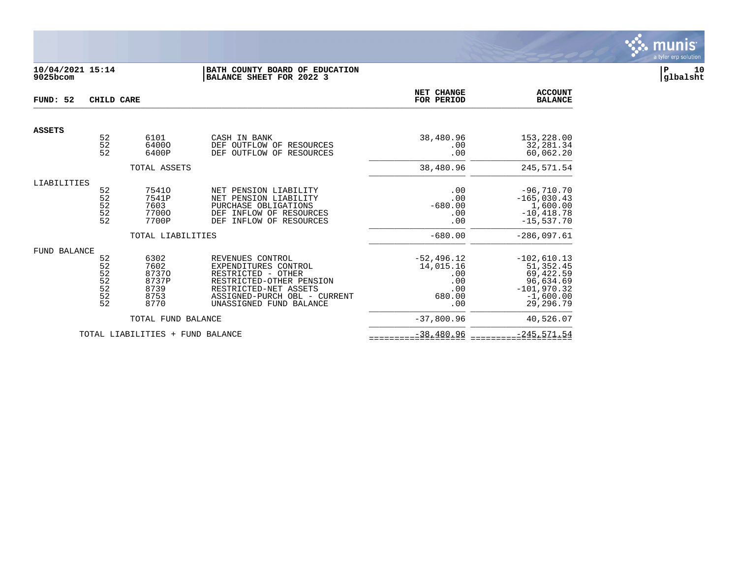

# **10/04/2021 15:14 |BATH COUNTY BOARD OF EDUCATION |P 10 9025bcom |BALANCE SHEET FOR 2022 3 |glbalsht**

| FUND: 52      | CHILD CARE                                     |                                                        | <b>NET CHANGE</b><br>FOR PERIOD                                                                                                                                                | <b>ACCOUNT</b><br><b>BALANCE</b>                                 |                                                                                                   |
|---------------|------------------------------------------------|--------------------------------------------------------|--------------------------------------------------------------------------------------------------------------------------------------------------------------------------------|------------------------------------------------------------------|---------------------------------------------------------------------------------------------------|
| <b>ASSETS</b> |                                                |                                                        |                                                                                                                                                                                |                                                                  |                                                                                                   |
|               | 52<br>52<br>52                                 | 6101<br>64000<br>6400P                                 | CASH IN BANK<br>DEF OUTFLOW OF RESOURCES<br>DEF<br>OUTFLOW OF RESOURCES                                                                                                        | 38,480.96<br>.00<br>.00                                          | 153,228.00<br>32,281.34<br>60,062.20                                                              |
|               |                                                | TOTAL ASSETS                                           |                                                                                                                                                                                | 38,480.96                                                        | 245,571.54                                                                                        |
| LIABILITIES   | 52<br>52<br>52<br>52<br>52<br>52               | 75410<br>7541P<br>7603<br>77000<br>7700P               | NET PENSION LIABILITY<br>NET PENSION LIABILITY<br>PURCHASE OBLIGATIONS<br>DEF INFLOW OF RESOURCES<br><b>DEF</b><br>INFLOW OF RESOURCES                                         | .00<br>.00<br>$-680.00$<br>.00<br>.00                            | $-96,710.70$<br>$-165,030.43$<br>1,600.00<br>$-10, 418.78$<br>$-15.537.70$                        |
|               |                                                | TOTAL LIABILITIES                                      |                                                                                                                                                                                | $-680.00$                                                        | $-286,097.61$                                                                                     |
| FUND BALANCE  | 52<br>52<br>$\frac{52}{52}$<br>$\frac{52}{52}$ | 6302<br>7602<br>87370<br>8737P<br>8739<br>8753<br>8770 | REVENUES CONTROL<br>EXPENDITURES CONTROL<br>RESTRICTED - OTHER<br>RESTRICTED-OTHER PENSION<br>RESTRICTED-NET ASSETS<br>ASSIGNED-PURCH OBL - CURRENT<br>UNASSIGNED FUND BALANCE | $-52, 496.12$<br>14,015.16<br>.00<br>.00<br>.00<br>680.00<br>.00 | $-102,610.13$<br>51,352.45<br>69,422.59<br>96,634.69<br>$-101,970.32$<br>$-1,600.00$<br>29,296.79 |
|               |                                                | TOTAL FUND BALANCE                                     |                                                                                                                                                                                | $-37,800.96$                                                     | 40,526.07                                                                                         |
|               |                                                | TOTAL LIABILITIES + FUND BALANCE                       |                                                                                                                                                                                | $-38,480.96$                                                     | $-245, 571.54$                                                                                    |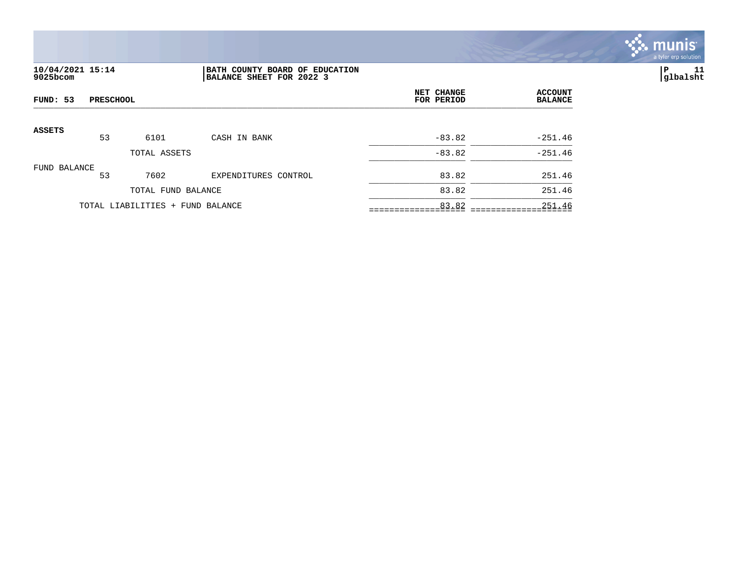

# **10/04/2021 15:14 |BATH COUNTY BOARD OF EDUCATION |P 11 9025bcom |BALANCE SHEET FOR 2022 3 |glbalsht**

| FUND: 53<br><b>PRESCHOOL</b> |    |                                  |                      | NET CHANGE<br>FOR PERIOD | <b>ACCOUNT</b><br><b>BALANCE</b> |
|------------------------------|----|----------------------------------|----------------------|--------------------------|----------------------------------|
| <b>ASSETS</b>                | 53 | 6101                             | CASH IN BANK         | $-83.82$                 | $-251.46$                        |
|                              |    | TOTAL ASSETS                     |                      | $-83.82$                 | $-251.46$                        |
| FUND BALANCE                 | 53 | 7602                             | EXPENDITURES CONTROL | 83.82                    | 251.46                           |
|                              |    | TOTAL FUND BALANCE               |                      | 83.82                    | 251.46                           |
|                              |    | TOTAL LIABILITIES + FUND BALANCE |                      | 83.82                    | 251.46                           |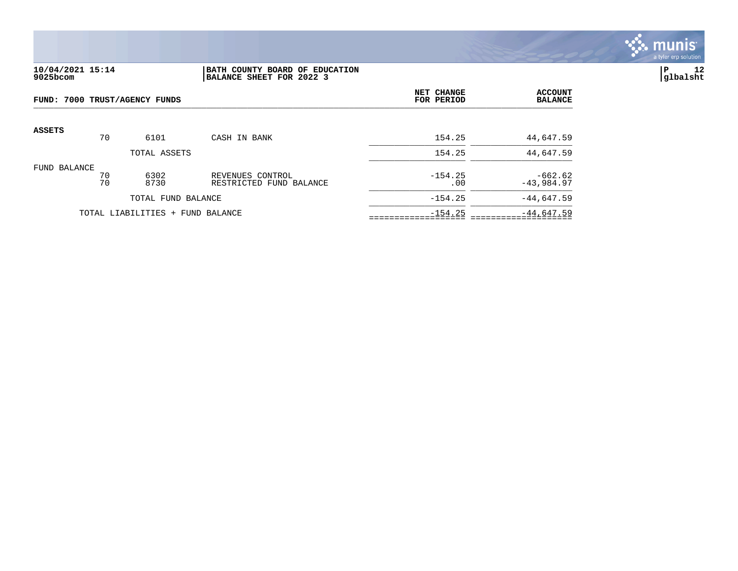

# **10/04/2021 15:14 |BATH COUNTY BOARD OF EDUCATION |P 12 9025bcom |BALANCE SHEET FOR 2022 3 |glbalsht**

| FUND: 7000 TRUST/AGENCY FUNDS |          |                                  |                                             | NET CHANGE<br>FOR PERIOD | <b>ACCOUNT</b><br><b>BALANCE</b> |
|-------------------------------|----------|----------------------------------|---------------------------------------------|--------------------------|----------------------------------|
| <b>ASSETS</b>                 | 70       | 6101                             | CASH IN BANK                                | 154.25                   | 44,647.59                        |
|                               |          | TOTAL ASSETS                     |                                             | 154.25                   | 44,647.59                        |
| FUND BALANCE                  | 70<br>70 | 6302<br>8730                     | REVENUES CONTROL<br>RESTRICTED FUND BALANCE | $-154.25$<br>.00         | $-662.62$<br>$-43,984.97$        |
|                               |          | TOTAL FUND BALANCE               |                                             | $-154.25$                | $-44,647.59$                     |
|                               |          | TOTAL LIABILITIES + FUND BALANCE |                                             | $-154.25$                | $-44,647.59$                     |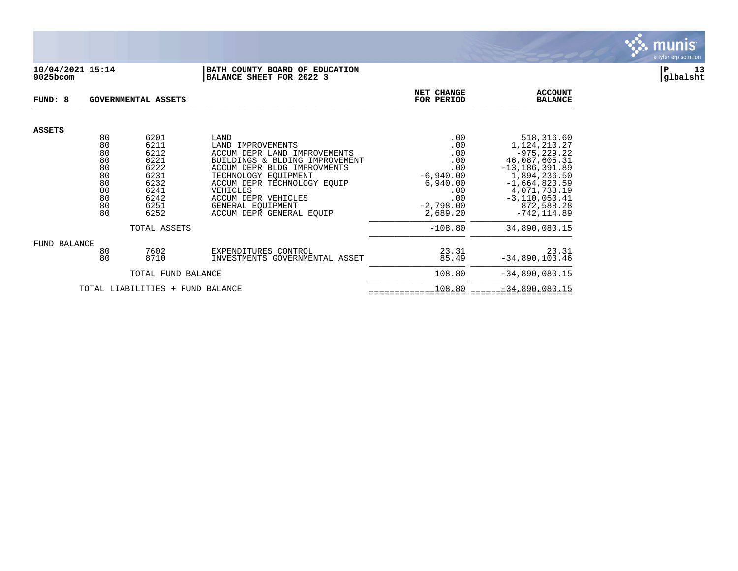

## **10/04/2021 15:14 |BATH COUNTY BOARD OF EDUCATION |P 13 9025bcom |BALANCE SHEET FOR 2022 3 |glbalsht**

| FUND: 8                          |                                                                | GOVERNMENTAL ASSETS                                                                  |                                                                                                                                                                                                                                                                       | NET CHANGE<br>FOR PERIOD                                                                            | <b>ACCOUNT</b><br><b>BALANCE</b>                                                                                                                                                            |
|----------------------------------|----------------------------------------------------------------|--------------------------------------------------------------------------------------|-----------------------------------------------------------------------------------------------------------------------------------------------------------------------------------------------------------------------------------------------------------------------|-----------------------------------------------------------------------------------------------------|---------------------------------------------------------------------------------------------------------------------------------------------------------------------------------------------|
| <b>ASSETS</b>                    |                                                                |                                                                                      |                                                                                                                                                                                                                                                                       |                                                                                                     |                                                                                                                                                                                             |
|                                  | 80<br>80<br>80<br>80<br>80<br>80<br>80<br>80<br>80<br>80<br>80 | 6201<br>6211<br>6212<br>6221<br>6222<br>6231<br>6232<br>6241<br>6242<br>6251<br>6252 | LAND<br>LAND IMPROVEMENTS<br>ACCUM DEPR LAND IMPROVEMENTS<br>BUILDINGS & BLDING IMPROVEMENT<br>ACCUM DEPR BLDG IMPROVMENTS<br>TECHNOLOGY EOUIPMENT<br>ACCUM DEPR TECHNOLOGY EOUIP<br>VEHICLES<br>ACCUM DEPR VEHICLES<br>GENERAL EOUIPMENT<br>ACCUM DEPR GENERAL EOUIP | .00<br>.00<br>.00<br>.00<br>.00<br>$-6,940.00$<br>6,940.00<br>.00<br>.00<br>$-2,798.00$<br>2,689.20 | 518,316.60<br>1,124,210.27<br>$-975, 229.22$<br>46,087,605.31<br>$-13, 186, 391.89$<br>1,894,236.50<br>$-1,664,823.59$<br>4,071,733.19<br>$-3, 110, 050.41$<br>872,588.28<br>$-742, 114.89$ |
| TOTAL ASSETS                     |                                                                |                                                                                      |                                                                                                                                                                                                                                                                       | $-108.80$                                                                                           | 34,890,080.15                                                                                                                                                                               |
| FUND BALANCE                     | 80<br>80                                                       | 7602<br>8710                                                                         | EXPENDITURES CONTROL<br>INVESTMENTS GOVERNMENTAL ASSET                                                                                                                                                                                                                | 23.31<br>85.49                                                                                      | 23.31<br>$-34,890,103.46$                                                                                                                                                                   |
| TOTAL FUND BALANCE               |                                                                |                                                                                      |                                                                                                                                                                                                                                                                       | 108.80                                                                                              | $-34,890,080.15$                                                                                                                                                                            |
| TOTAL LIABILITIES + FUND BALANCE |                                                                |                                                                                      |                                                                                                                                                                                                                                                                       | 108.80                                                                                              | $-34,890,080.15$                                                                                                                                                                            |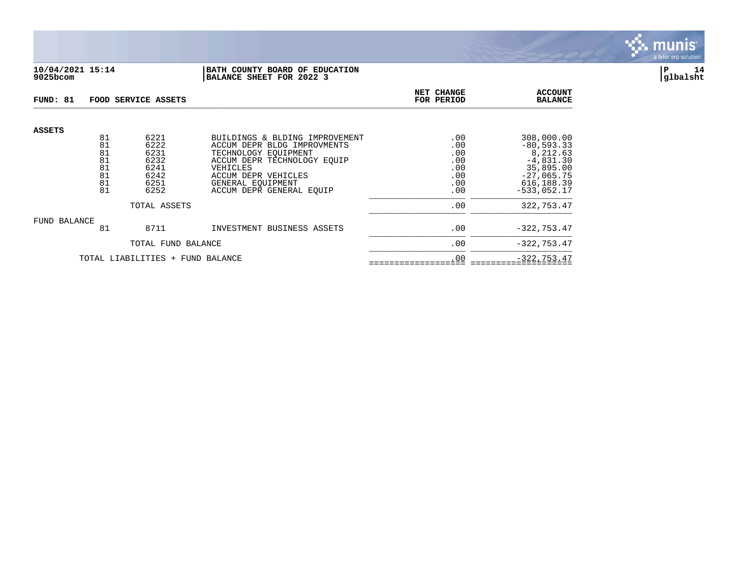

## **10/04/2021 15:14 |BATH COUNTY BOARD OF EDUCATION |P 14 9025bcom |BALANCE SHEET FOR 2022 3 |glbalsht**

| FUND: 81                         |                                  | FOOD SERVICE ASSETS                          | NET CHANGE<br>FOR PERIOD                                                                                                                                | <b>ACCOUNT</b><br><b>BALANCE</b>       |                                                                                     |
|----------------------------------|----------------------------------|----------------------------------------------|---------------------------------------------------------------------------------------------------------------------------------------------------------|----------------------------------------|-------------------------------------------------------------------------------------|
| <b>ASSETS</b>                    | 81<br>81<br>81<br>81<br>81<br>81 | 6221<br>6222<br>6231<br>6232<br>6241<br>6242 | BUILDINGS & BLDING IMPROVEMENT<br>ACCUM DEPR BLDG IMPROVMENTS<br>TECHNOLOGY EOUIPMENT<br>ACCUM DEPR TECHNOLOGY EOUIP<br>VEHICLES<br>ACCUM DEPR VEHICLES | .00<br>.00<br>.00<br>.00<br>.00<br>.00 | 308,000.00<br>$-80, 593.33$<br>8,212.63<br>$-4,831.30$<br>35,895.00<br>$-27,065.75$ |
|                                  | 81<br>81                         | 6251<br>6252                                 | GENERAL EOUIPMENT<br>ACCUM DEPR GENERAL EOUIP                                                                                                           | .00<br>.00                             | 616, 188.39<br>$-533.052.17$                                                        |
| TOTAL ASSETS                     |                                  |                                              |                                                                                                                                                         | .00                                    | 322,753.47                                                                          |
| FUND BALANCE                     | 81                               | 8711                                         | INVESTMENT BUSINESS ASSETS                                                                                                                              | .00                                    | $-322, 753.47$                                                                      |
|                                  | TOTAL FUND BALANCE               |                                              |                                                                                                                                                         | .00                                    | $-322, 753.47$                                                                      |
| TOTAL LIABILITIES + FUND BALANCE |                                  |                                              |                                                                                                                                                         | .00                                    | $-322, 753.47$                                                                      |